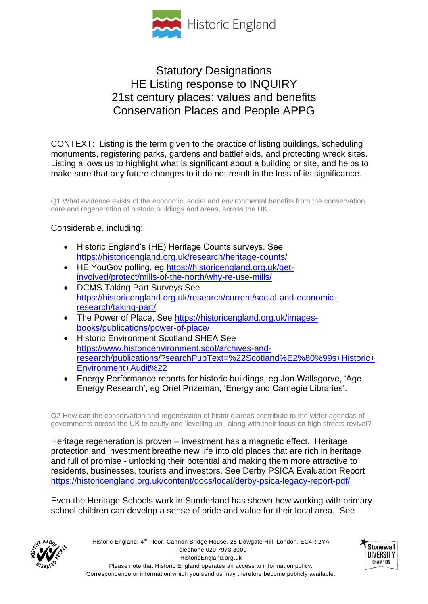

## Statutory Designations HE Listing response to INQUIRY 21st century places: values and benefits Conservation Places and People APPG

CONTEXT: Listing is the term given to the practice of listing buildings, scheduling monuments, registering parks, gardens and battlefields, and protecting wreck sites. Listing allows us to highlight what is significant about a building or site, and helps to make sure that any future changes to it do not result in the loss of its significance.

Q1 What evidence exists of the economic, social and environmental benefits from the conservation, care and regeneration of historic buildings and areas, across the UK.

## Considerable, including:

- Historic England's (HE) Heritage Counts surveys. See <https://historicengland.org.uk/research/heritage-counts/>
- HE YouGov polling, eg [https://historicengland.org.uk/get](https://historicengland.org.uk/get-involved/protect/mills-of-the-north/why-re-use-mills/)[involved/protect/mills-of-the-north/why-re-use-mills/](https://historicengland.org.uk/get-involved/protect/mills-of-the-north/why-re-use-mills/)
- DCMS Taking Part Surveys See [https://historicengland.org.uk/research/current/social-and-economic](https://historicengland.org.uk/research/current/social-and-economic-research/taking-part/)[research/taking-part/](https://historicengland.org.uk/research/current/social-and-economic-research/taking-part/)
- The Power of Place, See [https://historicengland.org.uk/images](https://historicengland.org.uk/images-books/publications/power-of-place/)[books/publications/power-of-place/](https://historicengland.org.uk/images-books/publications/power-of-place/)
- Historic Environment Scotland SHEA See [https://www.historicenvironment.scot/archives-and](https://www.historicenvironment.scot/archives-and-research/publications/?searchPubText=%22Scotland%E2%80%99s+Historic+Environment+Audit%22)[research/publications/?searchPubText=%22Scotland%E2%80%99s+Historic+](https://www.historicenvironment.scot/archives-and-research/publications/?searchPubText=%22Scotland%E2%80%99s+Historic+Environment+Audit%22) [Environment+Audit%22](https://www.historicenvironment.scot/archives-and-research/publications/?searchPubText=%22Scotland%E2%80%99s+Historic+Environment+Audit%22)
- Energy Performance reports for historic buildings, eg Jon Wallsgorve, 'Age Energy Research', eg Oriel Prizeman, 'Energy and Carnegie Libraries'.

Q2 How can the conservation and regeneration of historic areas contribute to the wider agendas of governments across the UK to equity and 'levelling up', along with their focus on high streets revival?

Heritage regeneration is proven – investment has a magnetic effect. Heritage protection and investment breathe new life into old places that are rich in heritage and full of promise - unlocking their potential and making them more attractive to residents, businesses, tourists and investors. See Derby PSICA Evaluation Report <https://historicengland.org.uk/content/docs/local/derby-psica-legacy-report-pdf/>

Even the Heritage Schools work in Sunderland has shown how working with primary school children can develop a sense of pride and value for their local area. See



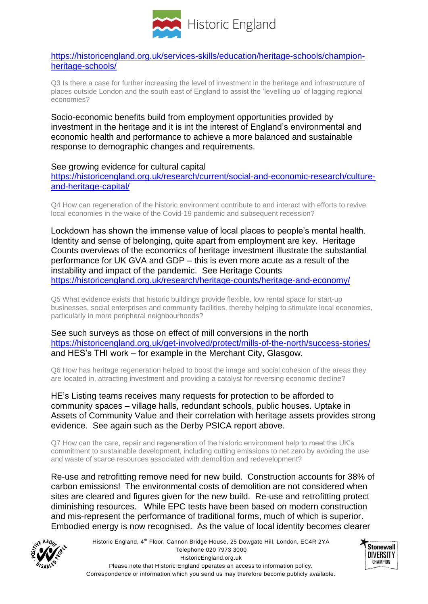

[https://historicengland.org.uk/services-skills/education/heritage-schools/champion](https://historicengland.org.uk/services-skills/education/heritage-schools/champion-heritage-schools/)[heritage-schools/](https://historicengland.org.uk/services-skills/education/heritage-schools/champion-heritage-schools/)

Q3 Is there a case for further increasing the level of investment in the heritage and infrastructure of places outside London and the south east of England to assist the 'levelling up' of lagging regional economies?

Socio-economic benefits build from employment opportunities provided by investment in the heritage and it is int the interest of England's environmental and economic health and performance to achieve a more balanced and sustainable response to demographic changes and requirements.

See growing evidence for cultural capital

[https://historicengland.org.uk/research/current/social-and-economic-research/culture](https://historicengland.org.uk/research/current/social-and-economic-research/culture-and-heritage-capital/)[and-heritage-capital/](https://historicengland.org.uk/research/current/social-and-economic-research/culture-and-heritage-capital/)

Q4 How can regeneration of the historic environment contribute to and interact with efforts to revive local economies in the wake of the Covid-19 pandemic and subsequent recession?

Lockdown has shown the immense value of local places to people's mental health. Identity and sense of belonging, quite apart from employment are key. Heritage Counts overviews of the economics of heritage investment illustrate the substantial performance for UK GVA and GDP – this is even more acute as a result of the instability and impact of the pandemic. See Heritage Counts <https://historicengland.org.uk/research/heritage-counts/heritage-and-economy/>

Q5 What evidence exists that historic buildings provide flexible, low rental space for start-up businesses, social enterprises and community facilities, thereby helping to stimulate local economies, particularly in more peripheral neighbourhoods?

See such surveys as those on effect of mill conversions in the north <https://historicengland.org.uk/get-involved/protect/mills-of-the-north/success-stories/> and HES's THI work – for example in the Merchant City, Glasgow.

Q6 How has heritage regeneration helped to boost the image and social cohesion of the areas they are located in, attracting investment and providing a catalyst for reversing economic decline?

HE's Listing teams receives many requests for protection to be afforded to community spaces – village halls, redundant schools, public houses. Uptake in Assets of Community Value and their correlation with heritage assets provides strong evidence. See again such as the Derby PSICA report above.

Q7 How can the care, repair and regeneration of the historic environment help to meet the UK's commitment to sustainable development, including cutting emissions to net zero by avoiding the use and waste of scarce resources associated with demolition and redevelopment?

Re-use and retrofitting remove need for new build. Construction accounts for 38% of carbon emissions! The environmental costs of demolition are not considered when sites are cleared and figures given for the new build. Re-use and retrofitting protect diminishing resources. While EPC tests have been based on modern construction and mis-represent the performance of traditional forms, much of which is superior. Embodied energy is now recognised. As the value of local identity becomes clearer



Historic England, 4<sup>th</sup> Floor, Cannon Bridge House, 25 Dowgate Hill, London, EC4R 2YA Telephone 020 7973 3000 HistoricEngland.org.uk Please note that Historic England operates an access to information policy. Correspondence or information which you send us may therefore become publicly available.

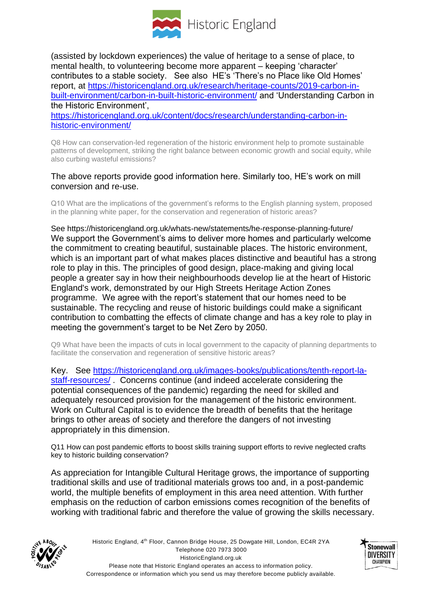

(assisted by lockdown experiences) the value of heritage to a sense of place, to mental health, to volunteering become more apparent – keeping 'character' contributes to a stable society. See also HE's 'There's no Place like Old Homes' report, at [https://historicengland.org.uk/research/heritage-counts/2019-carbon-in](https://historicengland.org.uk/research/heritage-counts/2019-carbon-in-built-environment/carbon-in-built-historic-environment/)[built-environment/carbon-in-built-historic-environment/](https://historicengland.org.uk/research/heritage-counts/2019-carbon-in-built-environment/carbon-in-built-historic-environment/) and 'Understanding Carbon in the Historic Environment',

[https://historicengland.org.uk/content/docs/research/understanding-carbon-in](https://historicengland.org.uk/content/docs/research/understanding-carbon-in-historic-environment/)[historic-environment/](https://historicengland.org.uk/content/docs/research/understanding-carbon-in-historic-environment/)

Q8 How can conservation-led regeneration of the historic environment help to promote sustainable patterns of development, striking the right balance between economic growth and social equity, while also curbing wasteful emissions?

## The above reports provide good information here. Similarly too, HE's work on mill conversion and re-use.

Q10 What are the implications of the government's reforms to the English planning system, proposed in the planning white paper, for the conservation and regeneration of historic areas?

See https://historicengland.org.uk/whats-new/statements/he-response-planning-future/ We support the Government's aims to deliver more homes and particularly welcome the commitment to creating beautiful, sustainable places. The historic environment, which is an important part of what makes places distinctive and beautiful has a strong role to play in this. The principles of good design, place-making and giving local people a greater say in how their neighbourhoods develop lie at the heart of Historic England's work, demonstrated by our High Streets Heritage Action Zones programme. We agree with the report's statement that our homes need to be sustainable. The recycling and reuse of historic buildings could make a significant contribution to combatting the effects of climate change and has a key role to play in meeting the government's target to be Net Zero by 2050.

Q9 What have been the impacts of cuts in local government to the capacity of planning departments to facilitate the conservation and regeneration of sensitive historic areas?

Key. See [https://historicengland.org.uk/images-books/publications/tenth-report-la](https://historicengland.org.uk/images-books/publications/tenth-report-la-staff-resources/)[staff-resources/](https://historicengland.org.uk/images-books/publications/tenth-report-la-staff-resources/) . Concerns continue (and indeed accelerate considering the potential consequences of the pandemic) regarding the need for skilled and adequately resourced provision for the management of the historic environment. Work on Cultural Capital is to evidence the breadth of benefits that the heritage brings to other areas of society and therefore the dangers of not investing appropriately in this dimension.

Q11 How can post pandemic efforts to boost skills training support efforts to revive neglected crafts key to historic building conservation?

As appreciation for Intangible Cultural Heritage grows, the importance of supporting traditional skills and use of traditional materials grows too and, in a post-pandemic world, the multiple benefits of employment in this area need attention. With further emphasis on the reduction of carbon emissions comes recognition of the benefits of working with traditional fabric and therefore the value of growing the skills necessary.



Historic England, 4<sup>th</sup> Floor, Cannon Bridge House, 25 Dowgate Hill, London, EC4R 2YA Telephone 020 7973 3000 HistoricEngland.org.uk Please note that Historic England operates an access to information policy. Correspondence or information which you send us may therefore become publicly available.